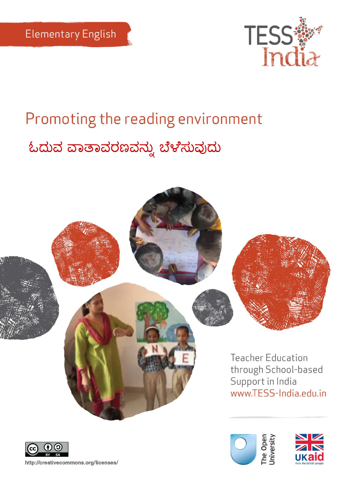

# Promoting the reading environment ಓದುವ ವಾತಾವರಣವನ್ನು ಬೆಳೆಸುವುದು



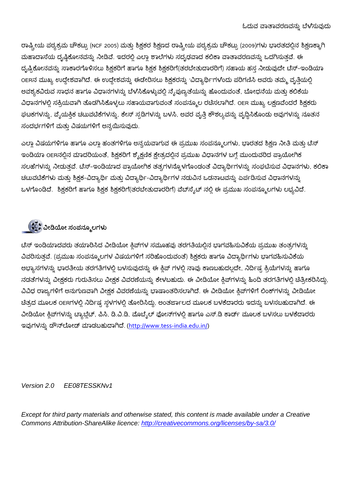ರಾಷ್ಟ್ರೀಯ ಪಠ್ಯಕ್ರಮ ಚೌಕಟ್ಸು (NCF 2005) ಮತ್ತು ಶಿಕ್ಷಕರ ಶಿಕ್ಷಣದ ರಾಷ್ಟ್ರೀಯ ಪಠ್ಯಕ್ರಮ ಚೌಕಟ್ಟು (2009)ಗಳು ಭಾರತದಲ್ಲಿನ ಶಿಕ್ಷಣಕ್ಕಾಗಿ ಮಹಾದಾಸೆಯ ದೃಷ್ಠಿಕೋನವನ್ನು ನೀಡಿವೆ. ಇದರಲ್ಲಿ ಎಲ್ಲಾ ಶಾಲೆಗಳು ಸದೃಢವಾದ ಕಲಿಕಾ ವಾತಾವರಣವನ್ನು ಒದಗಿಸುತ್ತವೆ. ಈ ದೃಷ್ಟಿಕೋನವನ್ನು ಸಾಕಾರಗೊಳಿಸಲು ಶಿಕ್ಷಕರಿಗೆ ಹಾಗೂ ಶಿಕ್ಷಕ ಶಿಕ್ಷಕರಿಗೆ(ತರಬೇತುದಾರರಿಗೆ) ಸಹಾಯ ಹಸ್ತ ನೀಡುವುದೇ ಟೆಸ್–ಇಂಡಿಯಾ OERನ ಮುಖ್ಯ ಉದ್ದೇಶವಾಗಿದೆ. ಈ ಉದ್ದೇಶವನ್ನು ಈಡೇರಿಸಲು ಶಿಕ್ಷಕರನ್ನು 'ವಿದ್ಯಾರ್ಥಿ'ಗಳೆಂದು ಪರಿಗಣಿಸಿ ಅವರು ತಮ್ಮ ವೃತ್ತಿಯಲ್ಲಿ ಅವಶ್ಯಕವಿರುವ ಸಾಧನ ಹಾಗೂ ವಿಧಾನಗಳನ್ನು ಬೆಳೆಸಿಕೊಳ್ಳುವಲ್ಲಿ ನೈಪುಣ್ಯತೆಯನ್ನು ಹೊಂದುವಂತೆ, ಬೋಧನೆಯ ಮತ್ತು ಕಲಿಕೆಯ ವಿಧಾನಗಳಲ್ಲಿ ಸಕ್ರಿಯವಾಗಿ ತೊಡಗಿಸಿಕೊಳ್ಳಲು ಸಹಾಯವಾಗುವಂತೆ ಸಂಪನ್ಮೂಲ ರಚಿಸಲಾಗಿದೆ. OER ಮುಖ್ಯ ಲಕ್ಷಣವೆಂದರೆ ಶಿಕ್ಷಕರು ಘಟಕಗಳನ್ನು, ವೈಯಕ್ತಿಕ ಚಟುವಟಿಕೆಗಳನ್ನು, ಕೇಸ್ ಸ್ಪಡಿಗಳನ್ನು ಬಳಸಿ, ಅವರ ವೃತ್ತಿ ಕೌಶಲ್ಯವನ್ನು ವೃದ್ಧಿಸಿಕೊಂಡು ಅವುಗಳನ್ನು ನೂತನ ಸಂದರ್ಭಗಳಿಗೆ ಮತು ವಿಷಯಗಳಿಗೆ ಅನ್ವಯಿಸುವುದು.

ಎಲ್ಲಾ ವಿಷಯಗಳಿಗೂ ಹಾಗೂ ಎಲ್ಲಾ ಹಂತಗಳಿಗೂ ಅನ್ವಯವಾಗುವ ಈ ಪ್ರಮುಖ ಸಂಪನ್ಮೂಲಗಳು, ಭಾರತದ ಶಿಕ್ಷಣ ನೀತಿ ಮತ್ತು ಟೆಸ್ ಇಂಡಿಯಾ OERನಲ್ಲಿನ ಮಾದರಿಯಂತೆ, ಶಿಕ್ಷಕರಿಗೆ ಶ್ಶೈಕ್ಷಣಿಕ ಕ್ಷೇತ್ರದಲ್ಲಿನ ಪ್ರಮುಖ ವಿಧಾನಗಳ ಬಗ್ಗೆ ಮುಂದುವರಿದ ಪ್ರಾಯೋಗಿಕ ಸಲಹೆಗಳನ್ನು ನೀಡುತ್ತವೆ. ಟೆಸ್-ಇಂಡಿಯಾದ ಪ್ರಾಯೋಗಿಕ ತತ್ವಗಳನ್ನೊಳಗೊಂಡಂತೆ ವಿದ್ಯಾರ್ಥಿಗಳನ್ನು ಸಂಘಟಿಸುವ ವಿಧಾನಗಳು, ಕಲಿಕಾ ಚಟುವಟಿಕೆಗಳು ಮತ್ತು ಶಿಕ್ಷಕ-ವಿದ್ಯಾರ್ಥಿ ಮತ್ತು ವಿದ್ಯಾರ್ಥಿ-ವಿದ್ಯಾರ್ಥಿಗಳ ನಡುವಿನ ಒಡನಾಟವನ್ನು ಏರ್ಪಡಿಸುವ ವಿಧಾನಗಳನ್ನು ಒಳಗೊಂಡಿದೆ. ಶಿಕ್ಷಕರಿಗೆ ಹಾಗೂ ಶಿಕ್ಷಕ ಶಿಕ್ಷಕರಿಗೆ(ತರಬೇತುದಾರರಿಗೆ) ವೆಬ್ಸೈಟ್ ನಲ್ಲಿ ಈ ಪ್ರಮುಖ ಸಂಪನ್ಮೂಲಗಳು ಲಭ್ಯವಿದೆ.

### **ವೀಡಿಯೀ ಸಂಪನ್ಮೂಲಗಳು**

ಟೆಸ್ ಇಂಡಿಯಾದವರು ತಯಾರಿಸಿದ ವೀಡಿಯೋ ಕ್ತಿಪ್ಗಳ ಸಮೂಹವು ತರಗತಿಯಲ್ಲಿನ ಭಾಗವಹಿಸುವಿಕೆಯ ಪ್ರಮುಖ ತಂತ್ರಗಳನ್ನು ವಿವರಿಸುತ್ತವೆ. (ಪ್ರಮುಖ ಸಂಪನ್ಮೂಲಗಳ ವಿಷಯಗಳಿಗೆ ಸರಿಹೊಂದುವಂತೆ) ಶಿಕ್ಷಕರು ಹಾಗೂ ವಿದ್ಯಾರ್ಥಿಗಳು ಭಾಗವಹಿಸುವಿಕೆಯ ಅಭ್ಯಾಸಗಳನ್ನು ಭಾರತೀಯ ತರಗತಿಗಳಲ್ಲಿ ಬಳಸುವುದನ್ನು ಈ ಕ್ಲಿಪ್ ಗಳಲ್ಲಿ ನಾವು ಕಾಣಬಹುದಲ್ಲದೇ, ನಿರ್ದಿಷ್ಟ ಕ್ರಿಯೆಗಳನ್ನು ಹಾಗೂ ನಡತೆಗಳನ್ನು ವೀಕ್ಷಕರು ಗುರುತಿಸಲು ವೀಕ್ಷಕ ವಿವರಣೆಯನ್ನು ಕೇಳಬಹುದು. ಈ ವೀಡಿಯೋ ಕ್ಲಿಪ್1ಳನ್ನು ಹಿಂದಿ ತರಗತಿಗಳಲ್ಲಿ ಚಿತ್ರೀಕರಿಸಿದ್ದು, ವಿವಿಧ ರಾಜ್ಯಗಳಿಗೆ ಅನುಗುಣವಾಗಿ ವೀಕ್ಷಕ ವಿವರಣೆಯನ್ನು ಭಾಷಾಂತರಿಸಲಾಗಿದೆ. ಈ ವೀಡಿಯೋ ಕ್ತಿಪ್ಗಳಿಗೆ ಲಿಂಕ್ಗಳನ್ನು ವೀಡಿಯೋ ಚಿತ್ರದ ಮೂಲಕ OERಗಳಲ್ಲಿ ನಿರ್ದಿಷ್ಟ ಸ್ಥಳಗಳಲ್ಲಿ ತೋರಿಸಿದ್ದು, ಅಂತರ್ಜಾಲದ ಮೂಲಕ ಬಳಕೆದಾರರು ಇದನ್ನು ಬಳಸಬಹುದಾಗಿದೆ. ಈ ವೀಡಿಯೋ ಕ್ಲಿಪ್ಗಳನ್ನು ಟ್ಯಾಬ್ಲೆಟ್, ಪಿಸಿ, ಡಿ.ವಿ.ಡಿ, ಮೊಬೈಲ್ ಫೋನ್ಗಳಲ್ಲಿ ಹಾಗೂ ಎಸ್.ಡಿ ಕಾರ್ಡ್ ಮೂಲಕ ಬಳಸಲು ಬಳಕೆದಾರರು ಇವುಗಳನ್ನು ಡೌನ್ಲೋಡ್ ಮಾಡಬಹುದಾಗಿದೆ. [\(http://www.tess-india.edu.in/\)](http://www.tess-india.edu.in/)

*Version 2.0 EE08TESSKNv1*

*Except for third party materials and otherwise stated, this content is made available under a Creative Commons Attribution-ShareAlike licence:<http://creativecommons.org/licenses/by-sa/3.0/>*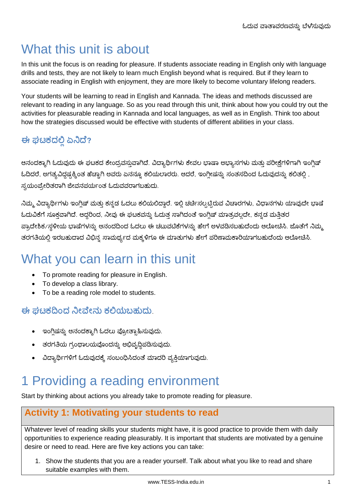# What this unit is about

In this unit the focus is on reading for pleasure. If students associate reading in English only with language drills and tests, they are not likely to learn much English beyond what is required. But if they learn to associate reading in English with enjoyment, they are more likely to become voluntary lifelong readers.

Your students will be learning to read in English and Kannada. The ideas and methods discussed are relevant to reading in any language. So as you read through this unit, think about how you could try out the activities for pleasurable reading in Kannada and local languages, as well as in English. Think too about how the strategies discussed would be effective with students of different abilities in your class.

### **ಈ ಘಟಕದಲ್ಲಿಏನಿದೆ?**

ಆನಂದಕ್ಕಾಗಿ ಓದುವುದು ಈ ಘಟಕದ ಕೇಂದ್ರವಸ್ತುವಾಗಿದೆ. ವಿದ್ಯಾರ್ಥಿಗಳು ಕೇವಲ ಭಾಷಾ ಅಭ್ಯಾಸಗಳು ಮತ್ತು ಪರೀಕ್ಷೆಗಳಿಗಾಗಿ ಇಂಗ್ಲಿಷ್ ಓದಿದರೆ, ಅಗತ್ಯವಿದ್ದಷ್ಟಕ್ಕಿಂತ ಹೆಚ್ಚಾಗಿ ಅವರು ಏನನ್ನೂ ಕಲಿಯಲಾರರು. ಆದರೆ, ಇಂಗ್ಲೀಷನ್ನು ಸಂತಸದಿಂದ ಓದುವುದನ್ನು ಕಲಿತಲ್ಲಿ, ಸ್ವಯಂಪ್ರೇರಿತರಾಗಿ ಜೀವನಪರ್ಯಂತ ಓದುವವರಾಗಬಹುದು.

ನಿಮ್ಮ ವಿದ್ಯಾರ್ಥಿಗಳು ಇಂಗ್ಲಿಷ್ ಮತ್ತು ಕನ್ನಡ ಓದಲು ಕಲಿಯಲಿದ್ದಾರೆ. ಇಲ್ಲಿ ಚರ್ಚಿಸಲ್ಪಟ್ಟಿರುವ ವಿಚಾರಗಳು, ವಿಧಾನಗಳು ಯಾವುದೇ ಭಾಷ ಓದುವಿಕೆಗೆ ಸೂಕ್ತವಾಗಿದೆ. ಆದ್ದರಿಂದ, ನೀವು ಈ ಘಟಕವನ್ನು ಓದುತ್ತ ಸಾಗಿದಂತೆ ಇಂಗ್ಲಿಷ್ ಮಾತ್ರವಲ್ಲದೇ, ಕನ್ನಡ ಮತ್ತಿತರ ಹ್ರಾದೇಶಿಕ/ಸ್ಥಳೀಯ ಭಾಷೆಗಳನ್ನು ಆನಂದದಿಂದ ಓದಲು ಈ ಚಟುವಟಿಕೆಗಳನ್ನು ಹೇಗೆ ಅಳವಡಿಸಬಹುದೆಂದು ಆಲೋಚಿಸಿ. ಜೊತೆಗೆ ನಿಮ್ಮ ತರಗತಿಯಲ್ಲಿ ಇರಬಹುದಾದ ವಿಭಿನ್ನ ಸಾಮರ್ಥ್ಯದ ಮಕ್ಕಳಿಗೂ ಈ ಮಾತುಗಳು ಹೇಗೆ ಪರಿಣಾಮಕಾರಿಯಾಗಬಹುದೆಂದು ಆಲೋಚಿಸಿ.

# What you can learn in this unit

- To promote reading for pleasure in English.
- To develop a class library.
- To be a reading role model to students.

**ಈ ಘಟಕದಂದ ನಿೀವೆೀನ್ು ಕಲ್ಲಯಬಹುದು**.

- ಇಂಗ್ಲಿಷನ್ನು ಆನಂದಕ್ಕಾಗಿ ಓದಲು ಪ್ರೋತ್ಸಾಹಿಸುವುದು.
- ತರಗತಿಯ ಗ್ರಂಥಾಲಯವೊಂದನ್ನು ಅಭಿವೃದ್ಧಿಪಡಿಸುವುದು.
- ವಿದ್ಯಾರ್ಥಿಗಳಿಗೆ ಓದುವುದಕ್ಕೆ ಸಂಬಂಧಿಸಿದಂತೆ ಮಾದರಿ ವ್ಯಕ್ತಿಯಾಗುವುದು.

# 1 Providing a reading environment

Start by thinking about actions you already take to promote reading for pleasure.

#### **Activity 1: Motivating your students to read**

Whatever level of reading skills your students might have, it is good practice to provide them with daily opportunities to experience reading pleasurably. It is important that students are motivated by a genuine desire or need to read. Here are five key actions you can take:

1. Show the students that you are a reader yourself. Talk about what you like to read and share suitable examples with them.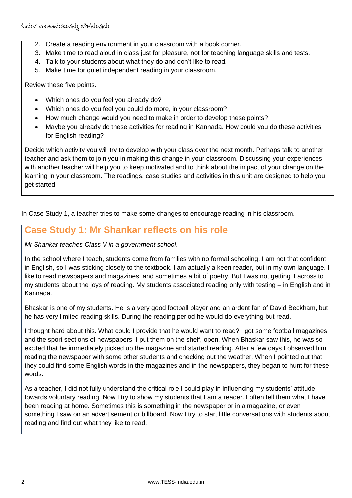- 2. Create a reading environment in your classroom with a book corner.
- 3. Make time to read aloud in class just for pleasure, not for teaching language skills and tests.
- 4. Talk to your students about what they do and don't like to read.
- 5. Make time for quiet independent reading in your classroom.

Review these five points.

- Which ones do you feel you already do?
- Which ones do you feel you could do more, in your classroom?
- How much change would you need to make in order to develop these points?
- Maybe you already do these activities for reading in Kannada. How could you do these activities for English reading?

Decide which activity you will try to develop with your class over the next month. Perhaps talk to another teacher and ask them to join you in making this change in your classroom. Discussing your experiences with another teacher will help you to keep motivated and to think about the impact of your change on the learning in your classroom. The readings, case studies and activities in this unit are designed to help you get started.

In Case Study 1, a teacher tries to make some changes to encourage reading in his classroom.

### **Case Study 1: Mr Shankar reflects on his role**

#### *Mr Shankar teaches Class V in a government school.*

In the school where I teach, students come from families with no formal schooling. I am not that confident in English, so I was sticking closely to the textbook. I am actually a keen reader, but in my own language. I like to read newspapers and magazines, and sometimes a bit of poetry. But I was not getting it across to my students about the joys of reading. My students associated reading only with testing – in English and in Kannada.

Bhaskar is one of my students. He is a very good football player and an ardent fan of David Beckham, but he has very limited reading skills. During the reading period he would do everything but read.

I thought hard about this. What could I provide that he would want to read? I got some football magazines and the sport sections of newspapers. I put them on the shelf, open. When Bhaskar saw this, he was so excited that he immediately picked up the magazine and started reading. After a few days I observed him reading the newspaper with some other students and checking out the weather. When I pointed out that they could find some English words in the magazines and in the newspapers, they began to hunt for these words.

As a teacher, I did not fully understand the critical role I could play in influencing my students' attitude towards voluntary reading. Now I try to show my students that I am a reader. I often tell them what I have been reading at home. Sometimes this is something in the newspaper or in a magazine, or even something I saw on an advertisement or billboard. Now I try to start little conversations with students about reading and find out what they like to read.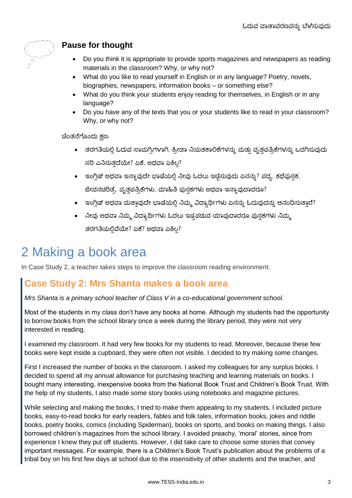

### **Pause for thought**

- Do you think it is appropriate to provide sports magazines and newspapers as reading materials in the classroom? Why, or why not?
- What do you like to read yourself in English or in any language? Poetry, novels, biographies, newspapers, information books – or something else?
- What do you think your students enjoy reading for themselves, in English or in any language?
- Do you have any of the texts that you or your students like to read in your classroom? Why, or why not?

ಚಿಂತನೆಗೊಂದು ಕ್ಷಣ:

- ತರಗತಿಯಲ್ಲಿ ಓದುವ ಸಾಮಗ್ರಿಗಳಾಗಿ, ಕ್ರೀಡಾ ನಿಯತಕಾಲಿಕೆಗಳನ್ನು ಮತ್ತು ವೃತ್ತಪತ್ರಿಕೆಗಳನ್ನು ಒದಗಿಸುವುದು ಸರಿ ಎನಿಸುತದೆಯೇ? ಏಕೆ, ಅಥವಾ ಏಕಿಲ?
- $\bullet$  ಇಂಗ್ಲಿಷ್ ಅಥವಾ ಇನ್ನಾವುದೇ ಭಾಷೆಯಲ್ಲಿ ನೀವು ಓದಲು ಇಚ್ಚಿಸುವುದು ಏನನ್ನು? ಪದ್ಯ, ಕಥೆಪುಸ್ತಕ, ಜೀವನಚರಿತ್ರೆ, ವೃತ್ತಪತ್ರಿಕೆಗಳು, ಮಾಹಿತಿ ಪುಸ್ತಕಗಳು ಅಥವಾ ಇನ್ನಾವುದಾದರೂ?
- $\bullet$  ಇಂಗ್ಲಿಷ್ ಅಥವಾ ಮತ್ತಾವುದೇ ಭಾಷೆಯಲ್ಲಿ ನಿಮ್ಮ ವಿದ್ಯಾರ್ಥಿಗಳು ಏನನ್ನು ಓದುವುದನ್ನು ಆನಂದಿಸುತ್ತಾರೆ?
- $\bullet$  ನೀವು ಅಥವಾ ನಿಮ್ಮ ವಿದ್ಯಾರ್ಥಿಗಳು ಓದಲು ಇಷ್ಟಪಡುವ ಯಾವುದಾದರೂ ಪುಸ್ತಕಗಳು ನಿಮ್ಮ ತರಗತಿಯಲ್ಲಿವೆಯೇ? ಏಕೆ? ಅಥವಾ ಏಕಿಲ್ಲ?

# 2 Making a book area

In Case Study 2, a teacher takes steps to improve the classroom reading environment.

### **Case Study 2: Mrs Shanta makes a book area**

*Mrs Shanta is a primary school teacher of Class V in a co-educational government school.* 

Most of the students in my class don't have any books at home. Although my students had the opportunity to borrow books from the school library once a week during the library period, they were not very interested in reading.

I examined my classroom. It had very few books for my students to read. Moreover, because these few books were kept inside a cupboard, they were often not visible. I decided to try making some changes.

First I increased the number of books in the classroom. I asked my colleagues for any surplus books. I decided to spend all my annual allowance for purchasing teaching and learning materials on books. I bought many interesting, inexpensive books from the National Book Trust and Children's Book Trust. With the help of my students, I also made some story books using notebooks and magazine pictures.

While selecting and making the books, I tried to make them appealing to my students. I included picture books, easy-to-read books for early readers, fables and folk tales, information books, jokes and riddle books, poetry books, comics (including Spiderman), books on sports, and books on making things. I also borrowed children's magazines from the school library. I avoided preachy, 'moral' stories, since from experience I knew they put off students. However, I did take care to choose some stories that convey important messages. For example, there is a Children's Book Trust's publication about the problems of a tribal boy on his first few days at school due to the insensitivity of other students and the teacher, and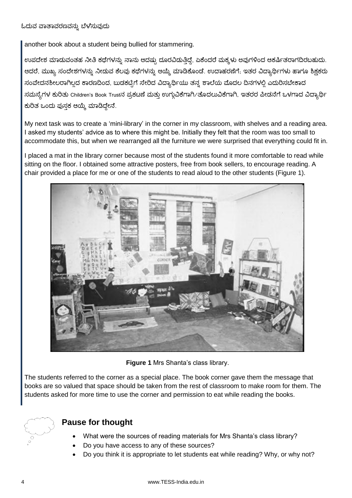another book about a student being bullied for stammering.

ಉಪದೇಶ ಮಾಡುವಂತಹ ನೀತಿ ಕಥೆಗಳನ್ನು ನಾನು ಆದಷ್ಟು ದೂರವಿಡುತ್ತಿದ್ದೆ, ಏಕೆಂದರೆ ಮಕ್ಕಳು ಅವುಗಳಿಂದ ಆಕರ್ಷಿತರಾಗದಿರಬಹುದು. ಆದರೆ, ಮುಖ್ಯ ಸಂದೇಶಗಳನ್ನು ನೀಡುವ ಕೆಲವು ಕಥೆಗಳನ್ನು ಆಯ್ಕೆ ಮಾಡಿಕೊಂಡೆ. ಉದಾಹರಣೆಗೆ; ಇತರ ವಿದ್ಯಾರ್ಥಿಗಳು ಹಾಗೂ ಶಿಕ್ಷಕರು ಸಂವೇದನಶೀಲರಾಗಿಲ್ಲದ ಕಾರಣದಿಂದ, ಬುಡಕಟ್ಟಿಗೆ ಸೇರಿದ ವಿದ್ಯಾರ್ಥಿಯು ತನ್ನ ಶಾಲೆಯ ಮೊದಲ ದಿನಗಳಲ್ಲಿ ಎದುರಿಸಬೇಕಾದ ಸಮಸ್ಯೆಗಳ ಕುರಿತು Children's Book Trustನ ಪ್ರಕಟಣೆ ಮತ್ತು ಉಗ್ಗುವಿಕೆಗಾಗಿ/ತೊದಲುವಿಕೆಗಾಗಿ, ಇತರರ ಪೀಡನೆಗೆ ಒಳಗಾದ ವಿದ್ಯಾರ್ಥಿ ಕುರಿತ ಒಂದು ಪುಸ್ತಕ ಆಯ್ಕೆ ಮಾಡಿದ್ದೇನೆ.

My next task was to create a 'mini-library' in the corner in my classroom, with shelves and a reading area. I asked my students' advice as to where this might be. Initially they felt that the room was too small to accommodate this, but when we rearranged all the furniture we were surprised that everything could fit in.

I placed a mat in the library corner because most of the students found it more comfortable to read while sitting on the floor. I obtained some attractive posters, free from book sellers, to encourage reading. A chair provided a place for me or one of the students to read aloud to the other students (Figure 1).



**Figure 1** Mrs Shanta's class library.

The students referred to the corner as a special place. The book corner gave them the message that books are so valued that space should be taken from the rest of classroom to make room for them. The students asked for more time to use the corner and permission to eat while reading the books.



#### **Pause for thought**

- What were the sources of reading materials for Mrs Shanta's class library?
- Do you have access to any of these sources?
- Do you think it is appropriate to let students eat while reading? Why, or why not?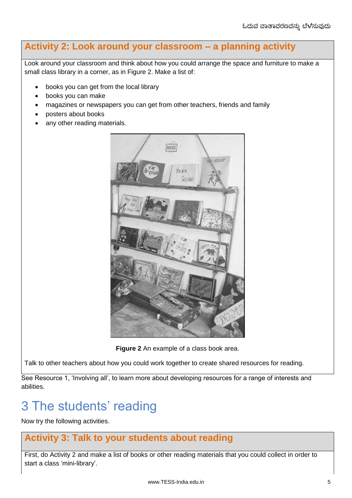### **Activity 2: Look around your classroom – a planning activity**

Look around your classroom and think about how you could arrange the space and furniture to make a small class library in a corner, as in Figure 2. Make a list of:

- books you can get from the local library
- books you can make
- magazines or newspapers you can get from other teachers, friends and family
- posters about books
- any other reading materials.



**Figure 2** An example of a class book area.

Talk to other teachers about how you could work together to create shared resources for reading.

See Resource 1, 'Involving all', to learn more about developing resources for a range of interests and abilities.

# 3 The students' reading

Now try the following activities.

#### **Activity 3: Talk to your students about reading**

First, do Activity 2 and make a list of books or other reading materials that you could collect in order to start a class 'mini-library'.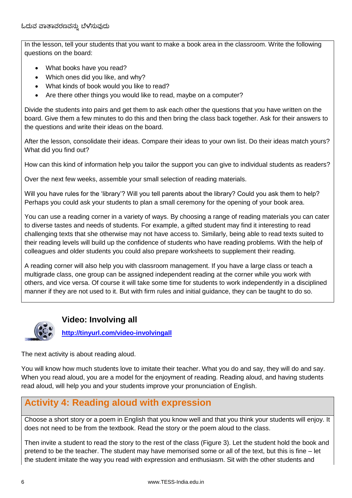In the lesson, tell your students that you want to make a book area in the classroom. Write the following questions on the board:

- What books have you read?
- Which ones did you like, and why?
- What kinds of book would you like to read?
- Are there other things you would like to read, maybe on a computer?

Divide the students into pairs and get them to ask each other the questions that you have written on the board. Give them a few minutes to do this and then bring the class back together. Ask for their answers to the questions and write their ideas on the board.

After the lesson, consolidate their ideas. Compare their ideas to your own list. Do their ideas match yours? What did you find out?

How can this kind of information help you tailor the support you can give to individual students as readers?

Over the next few weeks, assemble your small selection of reading materials.

Will you have rules for the 'library'? Will you tell parents about the library? Could you ask them to help? Perhaps you could ask your students to plan a small ceremony for the opening of your book area.

You can use a reading corner in a variety of ways. By choosing a range of reading materials you can cater to diverse tastes and needs of students. For example, a gifted student may find it interesting to read challenging texts that she otherwise may not have access to. Similarly, being able to read texts suited to their reading levels will build up the confidence of students who have reading problems. With the help of colleagues and older students you could also prepare worksheets to supplement their reading.

A reading corner will also help you with classroom management. If you have a large class or teach a multigrade class, one group can be assigned independent reading at the corner while you work with others, and vice versa. Of course it will take some time for students to work independently in a disciplined manner if they are not used to it. But with firm rules and initial guidance, they can be taught to do so.



**Video: Involving all**

**<http://tinyurl.com/video-involvingall>**

The next activity is about reading aloud.

You will know how much students love to imitate their teacher. What you do and say, they will do and say. When you read aloud, you are a model for the enjoyment of reading. Reading aloud, and having students read aloud, will help you and your students improve your pronunciation of English.

### **Activity 4: Reading aloud with expression**

Choose a short story or a poem in English that you know well and that you think your students will enjoy. It does not need to be from the textbook. Read the story or the poem aloud to the class.

Then invite a student to read the story to the rest of the class (Figure 3). Let the student hold the book and pretend to be the teacher. The student may have memorised some or all of the text, but this is fine – let the student imitate the way you read with expression and enthusiasm. Sit with the other students and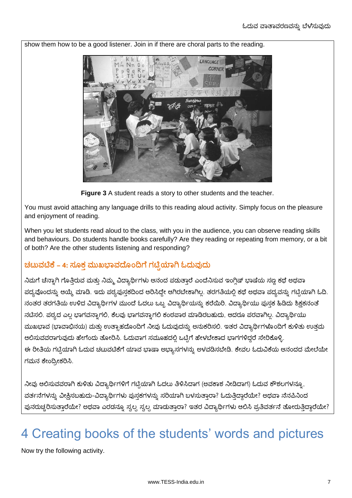

show them how to be a good listener. Join in if there are choral parts to the reading.

**Figure 3** A student reads a story to other students and the teacher.

You must avoid attaching any language drills to this reading aloud activity. Simply focus on the pleasure and enjoyment of reading.

When you let students read aloud to the class, with you in the audience, you can observe reading skills and behaviours. Do students handle books carefully? Are they reading or repeating from memory, or a bit of both? Are the other students listening and responding?

#### **ಚಟುಟಿಕೆ – 4: ಸಮಕತ ಮುಖಭದೆಮಂದಗೆ ಗಟಿಿಯಗಿ ಓದುುದು**

ನಿಮಗೆ ಚೆನ್ನಾಗಿ ಗೊತ್ತಿರುವ ಮತ್ತು ನಿಮ್ಮ ವಿದ್ಯಾರ್ಥಿಗಳು ಆನಂದ ಪಡುತ್ತಾರೆ ಎಂದೆನಿಸುವ ಇಂಗ್ಲಿಷ್ ಭಾಷೆಯ ಸಣ್ಣ ಕಥೆ ಅಥವಾ ಪದ್ಯವೊಂದನ್ನು ಆಯ್ಕೆ ಮಾಡಿ. ಇದು ಪಠ್ಯಪುಸ್ತಕದಿಂದ ಆರಿಸಿದ್ದೇ ಆಗಿರಬೇಕಾಗಿಲ್ಲ. ತರಗತಿಯಲ್ಲಿ ಕಥೆ ಅಥವಾ ಪದ್ಯವನ್ನು ಗಟ್ಟಿಯಾಗಿ ಓದಿ. ನಂತರ ತರಗತಿಯ ಉಳಿದ ವಿದ್ಯಾರ್ಥಿಗಳ ಮುಂದೆ ಓದಲು ಒಬ್ಬ ವಿದ್ಯಾರ್ಥಿಯನ್ನು ಕರೆಯಿರಿ. ವಿದ್ಯಾರ್ಥಿಯು ಪುಸ್ತಕ ಹಿಡಿದು ಶಿಕ್ಷಕನಂತೆ ನಟಿಸಲಿ. ಪಠ್ಯದ ಎಲ್ಲ ಭಾಗವನ್ನಾಗಲಿ, ಕೆಲವು ಭಾಗವನ್ನಾಗಲಿ ಕಂಠಪಾಠ ಮಾಡಿರಬಹುದು, ಆದರೂ ಪರವಾಗಿಲ್ಲ. ವಿದ್ಯಾರ್ಥಿಯು ಮುಖಭಾವ (ಭಾವಾಭಿನಯ) ಮತ್ತು ಉತ್ಸಾಹದೊಂದಿಗೆ ನೀವು ಓದುವುದನ್ನು ಅನುಕರಿಸಲಿ. ಇತರ ವಿದ್ಯಾರ್ಥಿಗಳೊಂದಿಗೆ ಕುಳಿತು ಉತ್ತಮ ಆಲಿಸುವವರಾಗುವುದು ಹೇಗೆಂದು ತೋರಿಸಿ. ಓದುವಾಗ ಸಮೂಹದಲ್ಲಿ ಒಟ್ಟಿಗೆ ಹೇಳಬೇಕಾದ ಭಾಗಗಳಿದ್ದರೆ ಸೇರಿಕೊಳ್ಳಿ. ಈ ರೀತಿಯ ಗಟ್ಟಿಯಾಗಿ ಓದುವ ಚಟುವಟಿಕೆಗೆ ಯಾವ ಭಾಷಾ ಅಭ್ಯಾಸಗಳನ್ನು ಅಳವಡಿಸಬೇಡಿ. ಕೇವಲ ಓದುವಿಕೆಯ ಆನಂದದ ಮೇಲೆಯೇ ಗಮನ ಕೇಂದ್ರೀಕರಿಸಿ.

ನೀವು ಆಲಿಸುವವರಾಗಿ ಕುಳಿತು ವಿದ್ಯಾರ್ಥಿಗಳಿಗೆ ಗಟ್ಟಿಯಾಗಿ ಓದಲು ತಿಳಿಸಿದಾಗ (ಅವಕಾಶ ನೀಡಿದಾಗ) ಓದುವ ಕೌಶಲಗಳನ್ನೂ, ವರ್ತನೆಗಳನ್ನು ವೀಕ್ಷಿಸಬಹುದು-ವಿದ್ಯಾರ್ಥಿಗಳು ಪುಸ್ತಕಗಳನ್ನು ಸರಿಯಾಗಿ ಬಳಸುತ್ತಾರಾ? ಓದುತ್ತಿದ್ದಾರೆಯೇ? ಅಥವಾ ನೆನಪಿನಿಂದ ಪುನರುಚ್ಚರಿಸುತ್ತಾರೆಯೇ? ಅಥವಾ ಎರಡನ್ನೂ ಸ್ವಲ್ಪ ಸ್ವಲ್ಪ ಮಾಡುತ್ತಾರಾ? ಇತರ ವಿದ್ಯಾರ್ಥಿಗಳು ಆಲಿಸಿ ಪ್ರತಿವರ್ತನೆ ತೋರುತ್ತಿದ್ದಾರೆಯೇ?

# 4 Creating books of the students' words and pictures

Now try the following activity.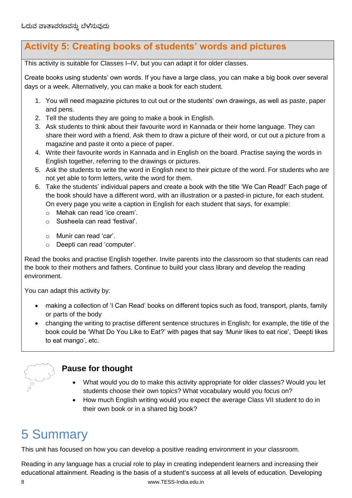### **Activity 5: Creating books of students' words and pictures**

This activity is suitable for Classes I–IV, but you can adapt it for older classes.

Create books using students' own words. If you have a large class, you can make a big book over several days or a week. Alternatively, you can make a book for each student.

- 1. You will need magazine pictures to cut out or the students' own drawings, as well as paste, paper and pens.
- 2. Tell the students they are going to make a book in English.
- 3. Ask students to think about their favourite word in Kannada or their home language. They can share their word with a friend. Ask them to draw a picture of their word, or cut out a picture from a magazine and paste it onto a piece of paper.
- 4. Write their favourite words in Kannada and in English on the board. Practise saying the words in English together, referring to the drawings or pictures.
- 5. Ask the students to write the word in English next to their picture of the word. For students who are not yet able to form letters, write the word for them.
- 6. Take the students' individual papers and create a book with the title 'We Can Read!' Each page of the book should have a different word, with an illustration or a pasted-in picture, for each student. On every page you write a caption in English for each student that says, for example:
	- o Mehak can read 'ice cream'.
	- o Susheela can read 'festival'.
	- o Munir can read 'car'.
	- o Deepti can read 'computer'.

Read the books and practise English together. Invite parents into the classroom so that students can read the book to their mothers and fathers. Continue to build your class library and develop the reading environment.

You can adapt this activity by:

- making a collection of 'I Can Read' books on different topics such as food, transport, plants, family or parts of the body
- changing the writing to practise different sentence structures in English; for example, the title of the book could be 'What Do You Like to Eat?' with pages that say 'Munir likes to eat rice', 'Deepti likes to eat mango', etc.



#### **Pause for thought**

- What would you do to make this activity appropriate for older classes? Would you let students choose their own topics? What vocabulary would you focus on?
- How much English writing would you expect the average Class VII student to do in their own book or in a shared big book?

# 5 Summary

This unit has focused on how you can develop a positive reading environment in your classroom.

Reading in any language has a crucial role to play in creating independent learners and increasing their educational attainment. Reading is the basis of a student's success at all levels of education. Developing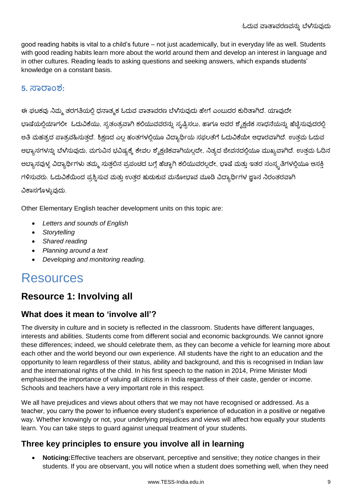good reading habits is vital to a child's future – not just academically, but in everyday life as well. Students with good reading habits learn more about the world around them and develop an interest in language and in other cultures. Reading leads to asking questions and seeking answers, which expands students' knowledge on a constant basis.

#### **5. ಸರಂವ:**

ಈ ಘಟಕವು ನಿಮ್ಮ ತರಗತಿಯಲ್ಲಿ ಧನಾತ್ಮಕ ಓದುವ ವಾತಾವರಣ ಬೆಳೆಸುವುದು ಹೇಗೆ ಎಂಬುದರ ಕುರಿತಾಗಿದೆ. ಯಾವುದೇ ಭಾಷೆಯಲ್ಲಿಯಾಗಲೀ ಓದುವಿಕೆಯು, ಸ್ವತಂತ್ರವಾಗಿ ಕಲಿಯುವವರನ್ನು ಸೃಷ್ಟಿಸಲು, ಹಾಗೂ ಅವರ ಶೈಕ್ಷಣಿಕ ಸಾಧನೆಯನ್ನು ಹೆಚ್ಚಿಸುವುದರಲ್ಲಿ ಅತಿ ಮಹತ್ವದ ಪಾತ್ರವಹಿಸುತ್ತದೆ. ಶಿಕ್ಷಣದ ಎಲ್ಲ ಹಂತಗಳಲ್ಲಿಯೂ ವಿದ್ಯಾರ್ಥಿಯ ಸಫಲತೆಗೆ ಓದುವಿಕೆಯೇ ಆಧಾರವಾಗಿದೆ. ಉತ್ತಮ ಓದುವ ಅಭ್ಯಾಸಗಳನ್ನು ಬೆಳೆಸುವುದು, ಮಗುವಿನ ಭವಿಷ್ಯಕ್ಕೆ ಕೇವಲ ಶೈಕ್ಷಣಿಕವಾಗಿಯಲ್ಲದೇ, ನಿತ್ಯದ ಜೀವನದಲ್ಲಿಯೂ ಮುಖ್ಯವಾಗಿದೆ. ಉತ್ತಮ ಓದಿನ ಅಬ್ಯಾಸವುಳ್ಳ ವಿದ್ಯಾರ್ಥಿಗಳು ತಮ್ಮ ಸುತ್ತಲಿನ ಪ್ರಪಂಚದ ಬಗ್ಗೆ ಹೆಚ್ಚಾಗಿ ಕಲಿಯುವರಲ್ಲದೇ, ಭಾಷೆ ಮತ್ತು ಇತರ ಸಂಸ್ಕೃತಿಗಳಲ್ಲಿಯೂ ಆಸಕ್ತಿ ಗಳಿಸುವರು. ಓದುವಿಕೆಯಿಂದ ಪ್ರಶ್ನಿಸುವ ಮತ್ತು ಉತ್ತರ ಹುಡುಕುವ ಮನೋಭಾವ ಮೂಡಿ ವಿದ್ಯಾರ್ಥಿಗಳ ಜ್ಞಾನ ನಿರಂತರವಾಗಿ ವಿಕಾಸಗೊಳ್ಳುವುದು.

Other Elementary English teacher development units on this topic are:

- *Letters and sounds of English*
- *Storytelling*
- *Shared reading*
- *Planning around a text*
- *Developing and monitoring reading.*

## Resources

### **Resource 1: Involving all**

#### **What does it mean to 'involve all'?**

The diversity in culture and in society is reflected in the classroom. Students have different languages, interests and abilities. Students come from different social and economic backgrounds. We cannot ignore these differences; indeed, we should celebrate them, as they can become a vehicle for learning more about each other and the world beyond our own experience. All students have the right to an education and the opportunity to learn regardless of their status, ability and background, and this is recognised in Indian law and the international rights of the child. In his first speech to the nation in 2014, Prime Minister Modi emphasised the importance of valuing all citizens in India regardless of their caste, gender or income. Schools and teachers have a very important role in this respect.

We all have prejudices and views about others that we may not have recognised or addressed. As a teacher, you carry the power to influence every student's experience of education in a positive or negative way. Whether knowingly or not, your underlying prejudices and views will affect how equally your students learn. You can take steps to guard against unequal treatment of your students.

#### **Three key principles to ensure you involve all in learning**

 **Noticing:**Effective teachers are observant, perceptive and sensitive; they *notice* changes in their students. If you are observant, you will notice when a student does something well, when they need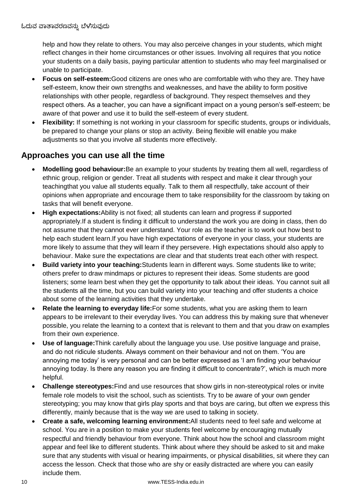help and how they relate to others. You may also perceive changes in your students, which might reflect changes in their home circumstances or other issues. Involving all requires that you notice your students on a daily basis, paying particular attention to students who may feel marginalised or unable to participate.

- **Focus on self-esteem:**Good citizens are ones who are comfortable with who they are. They have self-esteem, know their own strengths and weaknesses, and have the ability to form positive relationships with other people, regardless of background. They respect themselves and they respect others. As a teacher, you can have a significant impact on a young person's self-esteem; be aware of that power and use it to build the self-esteem of every student.
- **Flexibility:** If something is not working in your classroom for specific students, groups or individuals, be prepared to change your plans or stop an activity. Being flexible will enable you make adjustments so that you involve all students more effectively.

#### **Approaches you can use all the time**

- **Modelling good behaviour:**Be an example to your students by treating them all well, regardless of ethnic group, religion or gender. Treat all students with respect and make it clear through your teachingthat you value all students equally. Talk to them all respectfully, take account of their opinions when appropriate and encourage them to take responsibility for the classroom by taking on tasks that will benefit everyone.
- **High expectations:**Ability is not fixed; all students can learn and progress if supported appropriately.If a student is finding it difficult to understand the work you are doing in class, then do not assume that they cannot ever understand. Your role as the teacher is to work out how best to help each student learn. If you have high expectations of everyone in your class, your students are more likely to assume that they will learn if they persevere. High expectations should also apply to behaviour. Make sure the expectations are clear and that students treat each other with respect.
- **Build variety into your teaching:**Students learn in different ways. Some students like to write; others prefer to draw mindmaps or pictures to represent their ideas. Some students are good listeners; some learn best when they get the opportunity to talk about their ideas. You cannot suit all the students all the time, but you can build variety into your teaching and offer students a choice about some of the learning activities that they undertake.
- **Relate the learning to everyday life:**For some students, what you are asking them to learn appears to be irrelevant to their everyday lives. You can address this by making sure that whenever possible, you relate the learning to a context that is relevant to them and that you draw on examples from their own experience.
- **Use of language:**Think carefully about the language you use. Use positive language and praise, and do not ridicule students. Always comment on their behaviour and not on them. 'You are annoying me today' is very personal and can be better expressed as 'I am finding your behaviour annoying today. Is there any reason you are finding it difficult to concentrate?', which is much more helpful.
- **Challenge stereotypes:**Find and use resources that show girls in non-stereotypical roles or invite female role models to visit the school, such as scientists. Try to be aware of your own gender stereotyping; you may know that girls play sports and that boys are caring, but often we express this differently, mainly because that is the way we are used to talking in society.
- **Create a safe, welcoming learning environment:**All students need to feel safe and welcome at school. You are in a position to make your students feel welcome by encouraging mutually respectful and friendly behaviour from everyone. Think about how the school and classroom might appear and feel like to different students. Think about where they should be asked to sit and make sure that any students with visual or hearing impairments, or physical disabilities, sit where they can access the lesson. Check that those who are shy or easily distracted are where you can easily include them.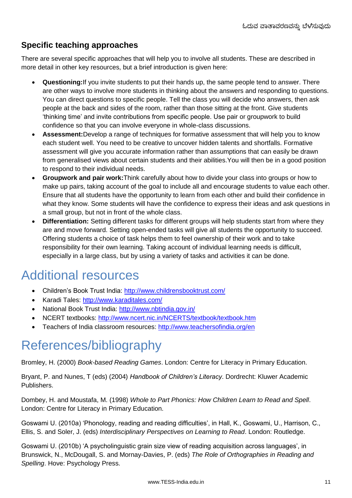#### **Specific teaching approaches**

There are several specific approaches that will help you to involve all students. These are described in more detail in other key resources, but a brief introduction is given here:

- **Questioning:**If you invite students to put their hands up, the same people tend to answer. There are other ways to involve more students in thinking about the answers and responding to questions. You can direct questions to specific people. Tell the class you will decide who answers, then ask people at the back and sides of the room, rather than those sitting at the front. Give students 'thinking time' and invite contributions from specific people. Use pair or groupwork to build confidence so that you can involve everyone in whole-class discussions.
- **Assessment:**Develop a range of techniques for formative assessment that will help you to know each student well. You need to be creative to uncover hidden talents and shortfalls. Formative assessment will give you accurate information rather than assumptions that can easily be drawn from generalised views about certain students and their abilities.You will then be in a good position to respond to their individual needs.
- **Groupwork and pair work:**Think carefully about how to divide your class into groups or how to make up pairs, taking account of the goal to include all and encourage students to value each other. Ensure that all students have the opportunity to learn from each other and build their confidence in what they know. Some students will have the confidence to express their ideas and ask questions in a small group, but not in front of the whole class.
- **Differentiation:** Setting different tasks for different groups will help students start from where they are and move forward. Setting open-ended tasks will give all students the opportunity to succeed. Offering students a choice of task helps them to feel ownership of their work and to take responsibility for their own learning. Taking account of individual learning needs is difficult, especially in a large class, but by using a variety of tasks and activities it can be done.

## Additional resources

- Children's Book Trust India:<http://www.childrensbooktrust.com/>
- Karadi Tales:<http://www.karaditales.com/>
- National Book Trust India:<http://www.nbtindia.gov.in/>
- NCERT textbooks:<http://www.ncert.nic.in/NCERTS/textbook/textbook.htm>
- Teachers of India classroom resources:<http://www.teachersofindia.org/en>

# References/bibliography

Bromley, H. (2000) *Book-based Reading Games*. London: Centre for Literacy in Primary Education.

Bryant, P. and Nunes, T (eds) (2004) *Handbook of Children's Literacy*. Dordrecht: Kluwer Academic Publishers.

Dombey, H. and Moustafa, M. (1998) *Whole to Part Phonics: How Children Learn to Read and Spell*. London: Centre for Literacy in Primary Education.

Goswami U. (2010a) 'Phonology, reading and reading difficulties', in Hall, K., Goswami, U., Harrison, C., Ellis, S. and Soler, J. (eds) *Interdisciplinary Perspectives on Learning to Read*. London: Routledge.

Goswami U. (2010b) 'A psycholinguistic grain size view of reading acquisition across languages', in Brunswick, N., McDougall, S. and Mornay-Davies, P. (eds) *The Role of Orthographies in Reading and Spelling*. Hove: Psychology Press.